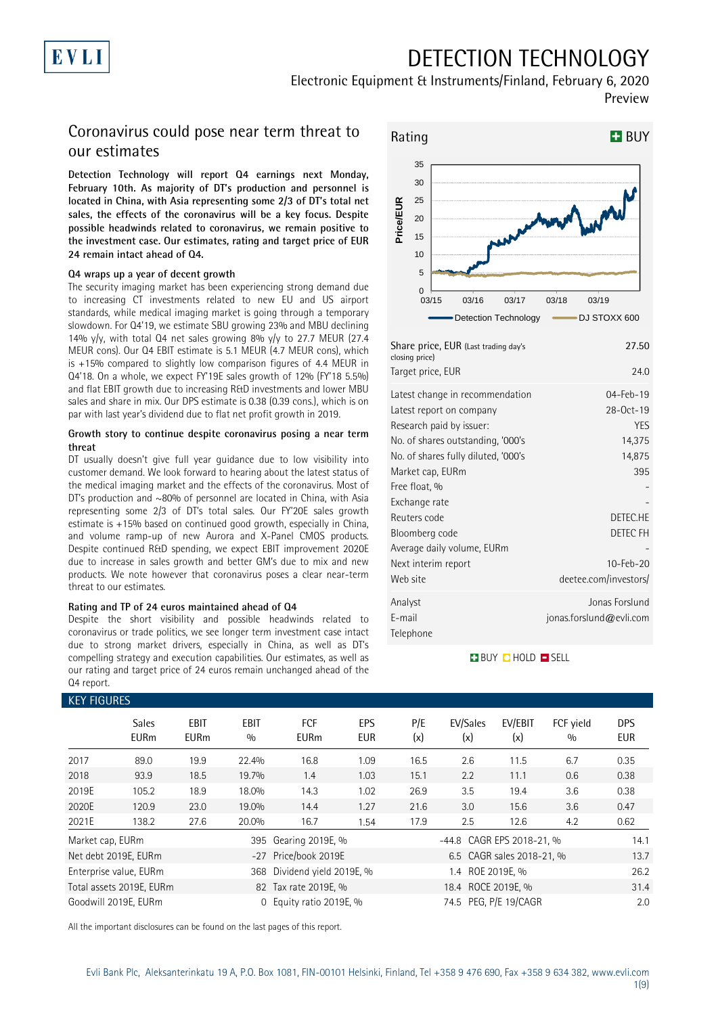

# DETECTION TECHNOLOGY

### Electronic Equipment & Instruments/Finland, February 6, 2020 Preview

### Coronavirus could pose near term threat to our estimates

**Detection Technology will report Q4 earnings next Monday, February 10th. As majority of DT's production and personnel is located in China, with Asia representing some 2/3 of DT's total net sales, the effects of the coronavirus will be a key focus. Despite possible headwinds related to coronavirus, we remain positive to the investment case. Our estimates, rating and target price of EUR 24 remain intact ahead of Q4.**

### **Q4 wraps up a year of decent growth**

The security imaging market has been experiencing strong demand due to increasing CT investments related to new EU and US airport standards, while medical imaging market is going through a temporary slowdown. For Q4'19, we estimate SBU growing 23% and MBU declining 14% y/y, with total Q4 net sales growing 8% y/y to 27.7 MEUR (27.4) MEUR cons). Our Q4 EBIT estimate is 5.1 MEUR (4.7 MEUR cons), which is +15% compared to slightly low comparison figures of 4.4 MEUR in Q4'18. On a whole, we expect FY'19E sales growth of 12% (FY'18 5.5%) and flat EBIT growth due to increasing R&D investments and lower MBU sales and share in mix. Our DPS estimate is 0.38 (0.39 cons.), which is on par with last year's dividend due to flat net profit growth in 2019.

### **Growth story to continue despite coronavirus posing a near term threat**

DT usually doesn't give full year guidance due to low visibility into customer demand. We look forward to hearing about the latest status of the medical imaging market and the effects of the coronavirus. Most of DT's production and ~80% of personnel are located in China, with Asia representing some 2/3 of DT's total sales. Our FY'20E sales growth estimate is +15% based on continued good growth, especially in China, and volume ramp-up of new Aurora and X-Panel CMOS products. Despite continued R&D spending, we expect EBIT improvement 2020E due to increase in sales growth and better GM's due to mix and new products. We note however that coronavirus poses a clear near-term threat to our estimates.

### **Rating and TP of 24 euros maintained ahead of Q4**

Despite the short visibility and possible headwinds related to coronavirus or trade politics, we see longer term investment case intact due to strong market drivers, especially in China, as well as DT's compelling strategy and execution capabilities. Our estimates, as well as our rating and target price of 24 euros remain unchanged ahead of the Q4 report.



| Share price, EUR (Last trading day's<br>closing price)      | 27.50                                     |
|-------------------------------------------------------------|-------------------------------------------|
| Target price, EUR                                           | 24.0                                      |
| Latest change in recommendation<br>Latest report on company | 04-Feb-19<br>28-Oct-19                    |
| Research paid by issuer:                                    | <b>YES</b>                                |
| No. of shares outstanding, '000's                           | 14,375                                    |
| No. of shares fully diluted, '000's                         | 14,875                                    |
| Market cap, EURm                                            | 395                                       |
| Free float, %                                               |                                           |
| Exchange rate                                               |                                           |
| Reuters code                                                | DETEC.HE                                  |
| Bloomberg code                                              | DETEC FH                                  |
| Average daily volume, EURm                                  |                                           |
| Next interim report                                         | 10-Feb-20                                 |
| Web site                                                    | deetee.com/investors/                     |
| Analyst<br>F-mail<br>Telephone                              | Jonas Forslund<br>jonas.forslund@evli.com |

### **BUY QHOLD SELL**

| <b>KEY FIGURES</b> |                             |                            |                    |                           |                          |            |                           |                           |                  |                          |
|--------------------|-----------------------------|----------------------------|--------------------|---------------------------|--------------------------|------------|---------------------------|---------------------------|------------------|--------------------------|
|                    | <b>Sales</b><br><b>EURm</b> | <b>EBIT</b><br><b>EURm</b> | <b>EBIT</b><br>0/0 | <b>FCF</b><br><b>EURm</b> | <b>EPS</b><br><b>EUR</b> | P/E<br>(x) | EV/Sales<br>(x)           | EV/EBIT<br>(x)            | FCF yield<br>0/0 | <b>DPS</b><br><b>EUR</b> |
| 2017               | 89.0                        | 19.9                       | 22.4%              | 16.8                      | 1.09                     | 16.5       | 2.6                       | 11.5                      | 6.7              | 0.35                     |
| 2018               | 93.9                        | 18.5                       | 19.7%              | 1.4                       | 1.03                     | 15.1       | 2.2                       | 11.1                      | 0.6              | 0.38                     |
| 2019E              | 105.2                       | 18.9                       | 18.0%              | 14.3                      | 1.02                     | 26.9       | 3.5                       | 19.4                      | 3.6              | 0.38                     |
| 2020E              | 120.9                       | 23.0                       | 19.0%              | 14.4                      | 1.27                     | 21.6       | 3.0                       | 15.6                      | 3.6              | 0.47                     |
| 2021E              | 138.2                       | 27.6                       | 20.0%              | 16.7                      | 1.54                     | 17.9       | 2.5                       | 12.6                      | 4.2              | 0.62                     |
| Market cap, EURm   |                             |                            |                    | 395 Gearing 2019E, %      |                          |            | -44.8 CAGR EPS 2018-21, % |                           |                  | 14.1                     |
|                    | Net debt 2019E, EURm        |                            |                    | -27 Price/book 2019E      |                          |            |                           | 6.5 CAGR sales 2018-21, % |                  | 13.7                     |
|                    | Enterprise value, EURm      |                            | 368                | Dividend yield 2019E, %   |                          |            | 1.4 ROE 2019E, %          |                           |                  | 26.2                     |
|                    | Total assets 2019E, EURm    |                            |                    | 82 Tax rate 2019E, %      |                          |            | 18.4 ROCE 2019E, %        |                           |                  | 31.4                     |
|                    | Goodwill 2019E, EURm        |                            | 0                  | Equity ratio 2019E, %     |                          |            | 74.5 PEG, P/E 19/CAGR     |                           |                  | 2.0                      |

All the important disclosures can be found on the last pages of this report.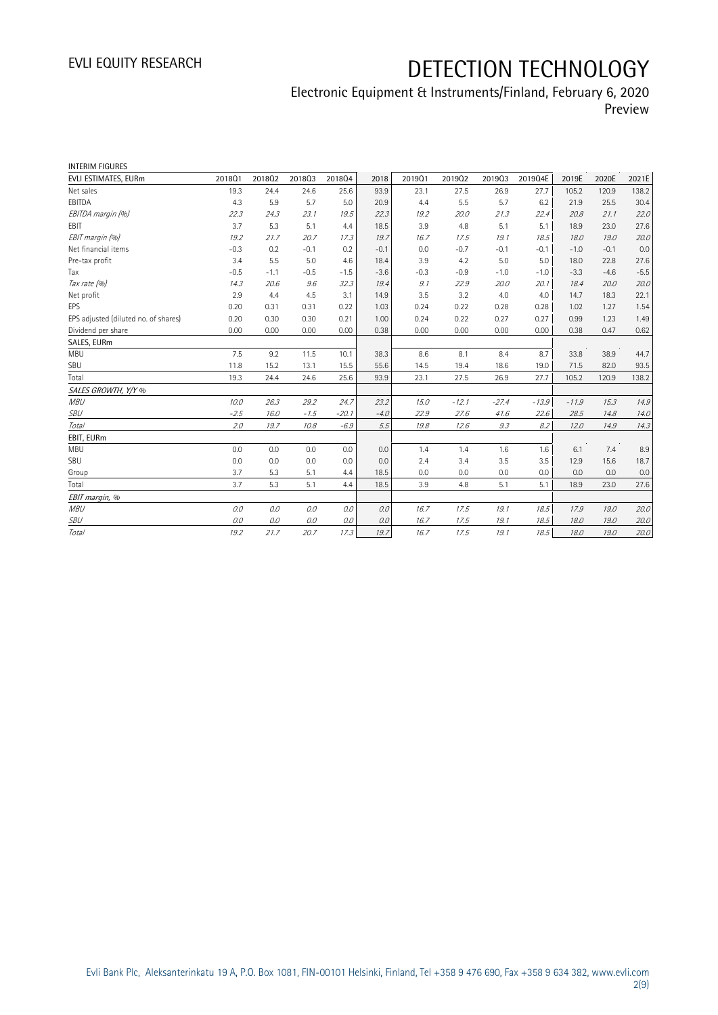## Electronic Equipment & Instruments/Finland, February 6, 2020 Preview

| <b>INTERIM FIGURES</b>               |        |        |        |         |        |        |         |         |         |         |        |        |
|--------------------------------------|--------|--------|--------|---------|--------|--------|---------|---------|---------|---------|--------|--------|
| EVLI ESTIMATES, EURm                 | 201801 | 201802 | 201803 | 201804  | 2018   | 201901 | 201902  | 201903  | 2019Q4E | 2019E   | 2020E  | 2021E  |
| Net sales                            | 19.3   | 24.4   | 24.6   | 25.6    | 93.9   | 23.1   | 27.5    | 26.9    | 27.7    | 105.2   | 120.9  | 138.2  |
| EBITDA                               | 4.3    | 5.9    | 5.7    | 5.0     | 20.9   | 4.4    | 5.5     | 5.7     | 6.2     | 21.9    | 25.5   | 30.4   |
| EBITDA margin (%)                    | 22.3   | 24.3   | 23.1   | 19.5    | 22.3   | 19.2   | 20.0    | 21.3    | 22.4    | 20.8    | 21.1   | 22.0   |
| <b>EBIT</b>                          | 3.7    | 5.3    | 5.1    | 4.4     | 18.5   | 3.9    | 4.8     | 5.1     | 5.1     | 18.9    | 23.0   | 27.6   |
| EBIT margin (%)                      | 19.2   | 21.7   | 20.7   | 17.3    | 19.7   | 16.7   | 17.5    | 19.1    | 18.5    | 18.0    | 19.0   | 20.0   |
| Net financial items                  | $-0.3$ | 0.2    | $-0.1$ | 0.2     | $-0.1$ | 0.0    | $-0.7$  | $-0.1$  | $-0.1$  | $-1.0$  | $-0.1$ | 0.0    |
| Pre-tax profit                       | 3.4    | 5.5    | 5.0    | 4.6     | 18.4   | 3.9    | 4.2     | 5.0     | 5.0     | 18.0    | 22.8   | 27.6   |
| Tax                                  | $-0.5$ | $-1.1$ | $-0.5$ | $-1.5$  | $-3.6$ | $-0.3$ | $-0.9$  | $-1.0$  | $-1.0$  | $-3.3$  | $-4.6$ | $-5.5$ |
| Tax rate (%)                         | 14.3   | 20.6   | 9.6    | 32.3    | 19.4   | 9.1    | 22.9    | 20.0    | 20.1    | 18.4    | 20.0   | 20.0   |
| Net profit                           | 2.9    | 4.4    | 4.5    | 3.1     | 14.9   | 3.5    | 3.2     | 4.0     | 4.0     | 14.7    | 18.3   | 22.1   |
| EPS                                  | 0.20   | 0.31   | 0.31   | 0.22    | 1.03   | 0.24   | 0.22    | 0.28    | 0.28    | 1.02    | 1.27   | 1.54   |
| EPS adjusted (diluted no. of shares) | 0.20   | 0.30   | 0.30   | 0.21    | 1.00   | 0.24   | 0.22    | 0.27    | 0.27    | 0.99    | 1.23   | 1.49   |
| Dividend per share                   | 0.00   | 0.00   | 0.00   | 0.00    | 0.38   | 0.00   | 0.00    | 0.00    | 0.00    | 0.38    | 0.47   | 0.62   |
| SALES, EURm                          |        |        |        |         |        |        |         |         |         |         |        |        |
| <b>MBU</b>                           | 7.5    | 9.2    | 11.5   | 10.1    | 38.3   | 8.6    | 8.1     | 8.4     | 8.7     | 33.8    | 38.9   | 44.7   |
| SBU                                  | 11.8   | 15.2   | 13.1   | 15.5    | 55.6   | 14.5   | 19.4    | 18.6    | 19.0    | 71.5    | 82.0   | 93.5   |
| Total                                | 19.3   | 24.4   | 24.6   | 25.6    | 93.9   | 23.1   | 27.5    | 26.9    | 27.7    | 105.2   | 120.9  | 138.2  |
| SALES GROWTH, Y/Y %                  |        |        |        |         |        |        |         |         |         |         |        |        |
| <b>MBU</b>                           | 10.0   | 26.3   | 29.2   | 24.7    | 23.2   | 15.0   | $-12.1$ | $-27.4$ | $-13.9$ | $-11.9$ | 15.3   | 14.9   |
| <b>SBU</b>                           | $-2.5$ | 16.0   | $-7.5$ | $-20.1$ | $-4.0$ | 22.9   | 27.6    | 41.6    | 22.6    | 28.5    | 14.8   | 14.0   |
| Total                                | 2.0    | 19.7   | 10.8   | $-6.9$  | 5.5    | 19.8   | 12.6    | 9.3     | 8.2     | 12.0    | 14.9   | 14.3   |
| EBIT, EURm                           |        |        |        |         |        |        |         |         |         |         |        |        |
| <b>MBU</b>                           | 0.0    | 0.0    | 0.0    | 0.0     | 0.0    | 1.4    | 1.4     | 1.6     | 1.6     | 6.1     | 7.4    | 8.9    |
| <b>SBU</b>                           | 0.0    | 0.0    | 0.0    | 0.0     | 0.0    | 2.4    | 3.4     | 3.5     | 3.5     | 12.9    | 15.6   | 18.7   |
| Group                                | 3.7    | 5.3    | 5.1    | 4.4     | 18.5   | 0.0    | 0.0     | 0.0     | 0.0     | 0.0     | 0.0    | 0.0    |
| Total                                | 3.7    | 5.3    | 5.1    | 4.4     | 18.5   | 3.9    | 4.8     | 5.1     | 5.1     | 18.9    | 23.0   | 27.6   |
| EBIT margin, %                       |        |        |        |         |        |        |         |         |         |         |        |        |
| <b>MBU</b>                           | 0.0    | 0.0    | 0.0    | 0.0     | 0.0    | 16.7   | 17.5    | 19.1    | 18.5    | 17.9    | 19.0   | 20.0   |
| <b>SBU</b>                           | 0.0    | 0.0    | 0.0    | 0.0     | 0.0    | 16.7   | 17.5    | 19.1    | 18.5    | 18.0    | 19.0   | 20.0   |
| Total                                | 19.2   | 21.7   | 20.7   | 17.3    | 19.7   | 16.7   | 17.5    | 19.1    | 18.5    | 18.0    | 19.0   | 20.0   |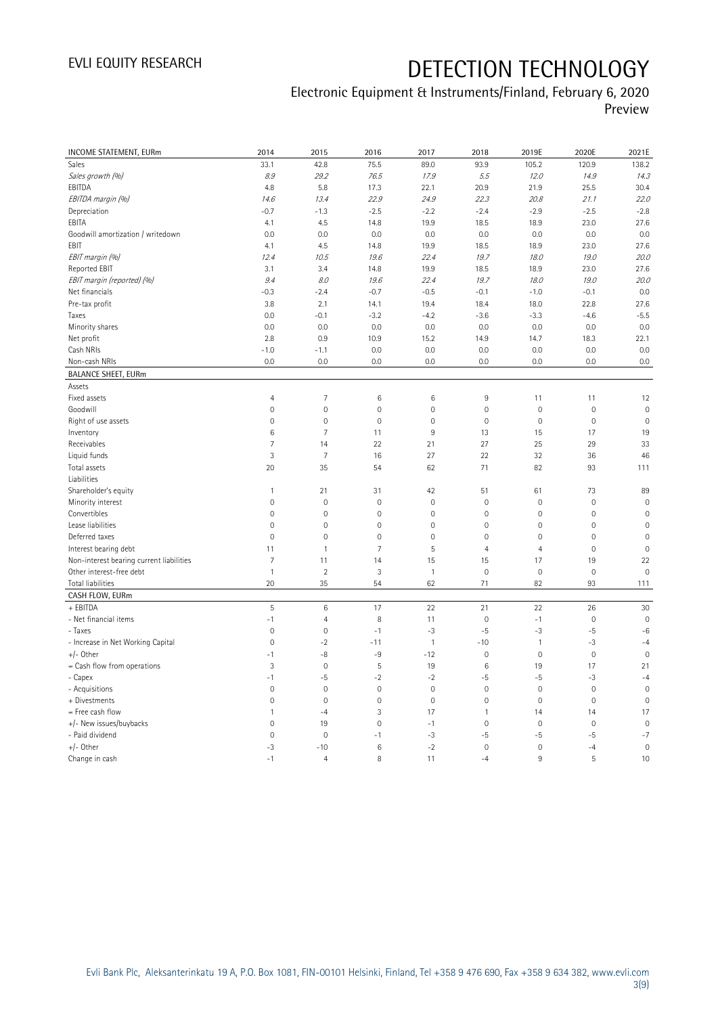## Electronic Equipment & Instruments/Finland, February 6, 2020 Preview

| INCOME STATEMENT, EURm                   | 2014                | 2015           | 2016                | 2017         | 2018                | 2019E               | 2020E        | 2021E          |
|------------------------------------------|---------------------|----------------|---------------------|--------------|---------------------|---------------------|--------------|----------------|
| Sales                                    | 33.1                | 42.8           | 75.5                | 89.0         | 93.9                | 105.2               | 120.9        | 138.2          |
| Sales growth (%)                         | 8.9                 | 29.2           | 76.5                | 17.9         | 5.5                 | 12.0                | 14.9         | 14.3           |
| EBITDA                                   | 4.8                 | 5.8            | 17.3                | 22.1         | 20.9                | 21.9                | 25.5         | 30.4           |
| EBITDA margin (%)                        | 14.6                | 13.4           | 22.9                | 24.9         | 22.3                | 20.8                | 21.1         | 22.0           |
| Depreciation                             | $-0.7$              | $-1.3$         | $-2.5$              | $-2.2$       | $-2.4$              | $-2.9$              | $-2.5$       | $-2.8$         |
| EBITA                                    | 4.1                 | 4.5            | 14.8                | 19.9         | 18.5                | 18.9                | 23.0         | 27.6           |
| Goodwill amortization / writedown        | 0.0                 | 0.0            | 0.0                 | 0.0          | 0.0                 | 0.0                 | 0.0          | 0.0            |
| EBIT                                     | 4.1                 | 4.5            | 14.8                | 19.9         | 18.5                | 18.9                | 23.0         | 27.6           |
| EBIT margin (%)                          | 12.4                | 10.5           | 19.6                | 22.4         | 19.7                | 18.0                | 19.0         | 20.0           |
| Reported EBIT                            | 3.1                 | 3.4            | 14.8                | 19.9         | 18.5                | 18.9                | 23.0         | 27.6           |
| EBIT margin (reported) (%)               | 9.4                 | 8.0            | 19.6                | 22.4         | 19.7                | 18.0                | 19.0         | 20.0           |
| Net financials                           | $-0.3$              | $-2.4$         | $-0.7$              | $-0.5$       | $-0.1$              | $-1.0$              | $-0.1$       | 0.0            |
| Pre-tax profit                           | 3.8                 | 2.1            | 14.1                | 19.4         | 18.4                | 18.0                | 22.8         | 27.6           |
| Taxes                                    | 0.0                 | $-0.1$         | $-3.2$              | $-4.2$       | $-3.6$              | $-3.3$              | $-4.6$       | $-5.5$         |
| Minority shares                          | 0.0                 | 0.0            | 0.0                 | 0.0          | 0.0                 | 0.0                 | 0.0          | 0.0            |
| Net profit                               | 2.8                 | 0.9            | 10.9                | 15.2         | 14.9                | 14.7                | 18.3         | 22.1           |
| Cash NRIs                                | $-1.0$              | $-1.1$         | 0.0                 | 0.0          | 0.0                 | 0.0                 | 0.0          | 0.0            |
| Non-cash NRIs                            | 0.0                 | 0.0            | 0.0                 | 0.0          | 0.0                 | 0.0                 | 0.0          | 0.0            |
| <b>BALANCE SHEET, EURm</b>               |                     |                |                     |              |                     |                     |              |                |
| Assets                                   |                     |                |                     |              |                     |                     |              |                |
| Fixed assets                             | $\overline{4}$      | 7              | $\,6$               | 6            | 9                   | 11                  | 11           | 12             |
| Goodwill                                 | $\mathsf{O}\xspace$ | $\mathbf 0$    | $\mathbf 0$         | $\mathbf 0$  | $\mathbf 0$         | $\mathsf{O}\xspace$ | $\mathbf 0$  | $\mathbf 0$    |
| Right of use assets                      | $\mathsf{O}\xspace$ | $\mathbf 0$    | $\mathbf 0$         | $\mathbf 0$  | $\mathsf{O}\xspace$ | $\mathsf{O}\xspace$ | $\mathbf 0$  | $\mathbf 0$    |
| Inventory                                | 6                   | $\overline{7}$ | 11                  | 9            | 13                  | 15                  | 17           | 19             |
| Receivables                              | $\overline{7}$      | 14             | 22                  | 21           | 27                  | 25                  | 29           | 33             |
| Liquid funds                             | 3                   | $\overline{7}$ | 16                  | 27           | 22                  | 32                  | 36           | 46             |
| Total assets                             | 20                  | 35             | 54                  | 62           | 71                  | 82                  | 93           | 111            |
| Liabilities                              |                     |                |                     |              |                     |                     |              |                |
| Shareholder's equity                     | $\mathbf{1}$        | 21             | 31                  | 42           | 51                  | 61                  | 73           | 89             |
| Minority interest                        | $\mathsf{O}\xspace$ | $\mathbf 0$    | $\mathsf{O}\xspace$ | $\mathbf 0$  | $\mathbf 0$         | $\mathsf{O}\xspace$ | $\mathbf 0$  | $\mathbf 0$    |
| Convertibles                             | $\overline{0}$      | $\mathbf 0$    | $\overline{0}$      | $\mathbf 0$  | $\mathbf 0$         | $\mathbf{0}$        | $\mathbf 0$  | $\mathbf 0$    |
| Lease liabilities                        | $\overline{0}$      | $\mathbf 0$    | $\overline{0}$      | $\mathbf 0$  | $\mathbf{0}$        | $\mathsf{O}\xspace$ | $\mathbf 0$  | $\overline{0}$ |
| Deferred taxes                           | $\mathsf{O}\xspace$ | $\mathbf 0$    | $\mathbf 0$         | 0            | $\mathbf 0$         | $\mathsf{O}\xspace$ | $\mathbf 0$  | $\mathbf 0$    |
| Interest bearing debt                    | 11                  | $\mathbf{1}$   | $\overline{7}$      | 5            | $\overline{4}$      | $\overline{4}$      | $\mathbf 0$  | $\mathbf 0$    |
| Non-interest bearing current liabilities | 7                   | 11             | 14                  | 15           | 15                  | 17                  | 19           | 22             |
| Other interest-free debt                 | $\mathbf{1}$        | $\overline{2}$ | 3                   | $\mathbf{1}$ | $\mathbf 0$         | $\mathsf{O}\xspace$ | $\mathbf 0$  | $\mathbf 0$    |
| Total liabilities                        | 20                  | 35             | 54                  | 62           | 71                  | 82                  | 93           | 111            |
| CASH FLOW, EURm                          |                     |                |                     |              |                     |                     |              |                |
| + EBITDA                                 | $\mathsf S$         | $\,6$          | 17                  | 22           | 21                  | 22                  | 26           | 30             |
| - Net financial items                    | $-1$                | $\overline{4}$ | 8                   | 11           | $\mathbf 0$         | $-1$                | $\mathbf 0$  | $\mathbf 0$    |
| - Taxes                                  | $\mathbb O$         | $\mathbf 0$    | $-1$                | $-3$         | $-5$                | $-3$                | $-5$         | $-6$           |
| - Increase in Net Working Capital        | $\overline{0}$      | $-2$           | $-11$               | $\mathbf{1}$ | $-10$               | $\mathbf{1}$        | $-3$         | $-4$           |
| $+/-$ Other                              | $-1$                | -8             | -9                  | $-12$        | $\mathsf{O}\xspace$ | $\mathsf{O}\xspace$ | $\mathbf 0$  | $\mathbf 0$    |
| = Cash flow from operations              | 3                   | $\mathbf 0$    | 5                   | 19           | $\,6\,$             | 19                  | 17           | 21             |
| - Capex                                  | $-1$                | $-5$           | $-2$                | $-2$         | $-5$                | $-5$                | -3           | $-4$           |
| - Acquisitions                           | $\mathsf{O}\xspace$ | $\mathbf 0$    | $\mathbf 0$         | $\mathbf 0$  | $\mathbf 0$         | $\mathsf{O}\xspace$ | $\mathbf 0$  | $\mathbf 0$    |
| + Divestments                            | $\overline{0}$      | $\mathbf 0$    | $\overline{0}$      | $\mathbf{0}$ | $\mathbf 0$         | $\mathbf 0$         | $\mathbf{0}$ | $\overline{0}$ |
| = Free cash flow                         | $\mathbf{1}$        | $-4$           | 3                   | 17           | $\mathbf{1}$        | 14                  | 14           | 17             |
| +/- New issues/buybacks                  | $\overline{0}$      | 19             | $\overline{0}$      | $-1$         | $\mathbf 0$         | $\mathsf{O}\xspace$ | $\mathbf 0$  | $\mathbf 0$    |
| - Paid dividend                          | $\mathbf 0$         | $\mathbf 0$    | $-1$                | $-3$         | $-5$                | $-5$                | $-5$         | $-7$           |
| $+/-$ Other                              | $-3$                | $-10$          | 6                   | $-2$         | $\mathbf 0$         | $\mathsf{O}\xspace$ | $-4$         | $\mathbf 0$    |
| Change in cash                           | $-1$                | $\overline{4}$ | 8                   | 11           | $-4$                | 9                   | 5            | 10             |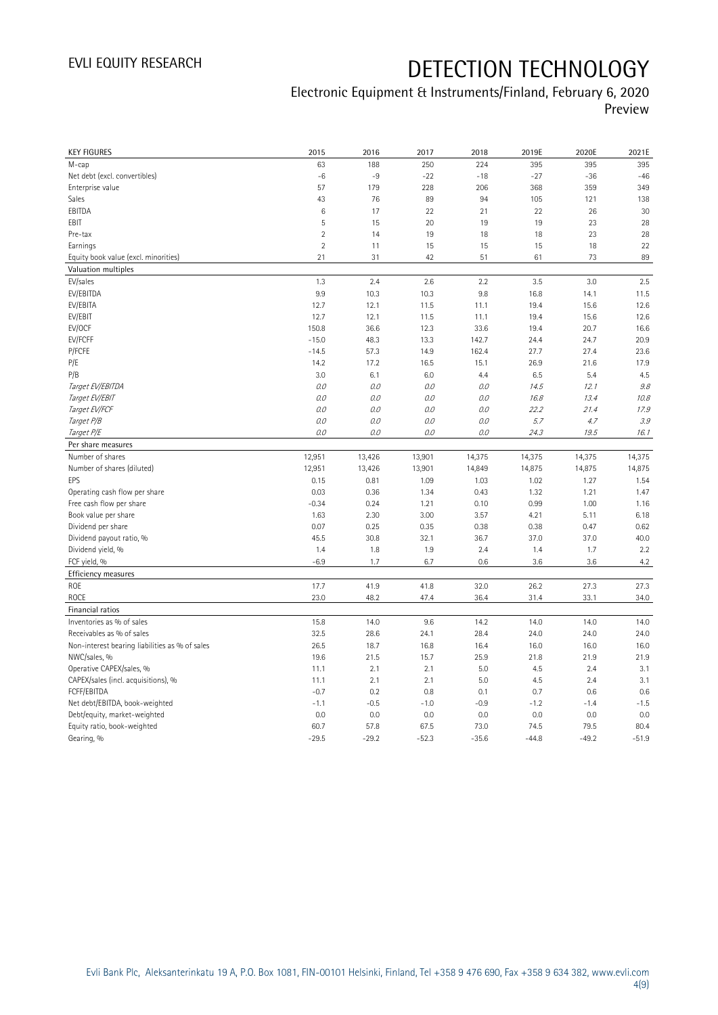## Electronic Equipment & Instruments/Finland, February 6, 2020 Preview

| <b>KEY FIGURES</b>                             | 2015           | 2016    | 2017    | 2018    | 2019E   | 2020E   | 2021E   |
|------------------------------------------------|----------------|---------|---------|---------|---------|---------|---------|
| M-cap                                          | 63             | 188     | 250     | 224     | 395     | 395     | 395     |
| Net debt (excl. convertibles)                  | $-6$           | $-9$    | $-22$   | $-18$   | $-27$   | $-36$   | $-46$   |
| Enterprise value                               | 57             | 179     | 228     | 206     | 368     | 359     | 349     |
| Sales                                          | 43             | 76      | 89      | 94      | 105     | 121     | 138     |
| EBITDA                                         | 6              | 17      | 22      | 21      | 22      | 26      | 30      |
| EBIT                                           | 5              | 15      | 20      | 19      | 19      | 23      | 28      |
| Pre-tax                                        | $\overline{2}$ | 14      | 19      | 18      | 18      | 23      | 28      |
| Earnings                                       | $\sqrt{2}$     | 11      | 15      | 15      | 15      | 18      | 22      |
| Equity book value (excl. minorities)           | 21             | 31      | 42      | 51      | 61      | 73      | 89      |
| Valuation multiples                            |                |         |         |         |         |         |         |
| EV/sales                                       | 1.3            | 2.4     | 2.6     | 2.2     | 3.5     | 3.0     | 2.5     |
| EV/EBITDA                                      | 9.9            | 10.3    | 10.3    | 9.8     | 16.8    | 14.1    | 11.5    |
| EV/EBITA                                       | 12.7           | 12.1    | 11.5    | 11.1    | 19.4    | 15.6    | 12.6    |
| EV/EBIT                                        | 12.7           | 12.1    | 11.5    | 11.1    | 19.4    | 15.6    | 12.6    |
| EV/OCF                                         | 150.8          | 36.6    | 12.3    | 33.6    | 19.4    | 20.7    | 16.6    |
| EV/FCFF                                        | $-15.0$        | 48.3    | 13.3    | 142.7   | 24.4    | 24.7    | 20.9    |
| P/FCFE                                         | $-14.5$        | 57.3    | 14.9    | 162.4   | 27.7    | 27.4    | 23.6    |
| P/E                                            | 14.2           | 17.2    | 16.5    | 15.1    | 26.9    | 21.6    | 17.9    |
| P/B                                            | 3.0            | 6.1     | 6.0     | 4.4     | 6.5     | 5.4     | 4.5     |
| Target EV/EBITDA                               | O.O            | 0.0     | 0.0     | 0.0     | 14.5    | 12.1    | 9.8     |
| Target EV/EBIT                                 | 0.0            | 0.0     | 0.0     | 0.0     | 16.8    | 13.4    | 10.8    |
| Target EV/FCF                                  | O.O            | 0.0     | 0.0     | $O.O$   | 22.2    | 21.4    | 17.9    |
| Target P/B                                     | $0.0\,$        | 0.0     | 0.0     | $O.O$   | 5.7     | 4.7     | 3.9     |
| Target P/E                                     | O.O            | 0.0     | 0.0     | 0.0     | 24.3    | 19.5    | 16.1    |
| Per share measures                             |                |         |         |         |         |         |         |
| Number of shares                               | 12,951         | 13,426  | 13,901  | 14,375  | 14,375  | 14,375  | 14,375  |
| Number of shares (diluted)                     | 12,951         | 13,426  | 13,901  | 14,849  | 14,875  | 14,875  | 14,875  |
| EPS                                            | 0.15           | 0.81    | 1.09    | 1.03    | 1.02    | 1.27    | 1.54    |
| Operating cash flow per share                  | 0.03           | 0.36    | 1.34    | 0.43    | 1.32    | 1.21    | 1.47    |
| Free cash flow per share                       | $-0.34$        | 0.24    | 1.21    | 0.10    | 0.99    | 1.00    | 1.16    |
| Book value per share                           | 1.63           | 2.30    | 3.00    | 3.57    | 4.21    | 5.11    | 6.18    |
| Dividend per share                             | 0.07           | 0.25    | 0.35    | 0.38    | 0.38    | 0.47    | 0.62    |
| Dividend payout ratio, %                       | 45.5           | 30.8    | 32.1    | 36.7    | 37.0    | 37.0    | 40.0    |
| Dividend yield, %                              | 1.4            | 1.8     | 1.9     | 2.4     | 1.4     | 1.7     | 2.2     |
| FCF yield, %                                   | $-6.9$         | 1.7     | 6.7     | 0.6     | 3.6     | 3.6     | 4.2     |
| Efficiency measures                            |                |         |         |         |         |         |         |
| ROE                                            | 17.7           | 41.9    | 41.8    | 32.0    | 26.2    | 27.3    | 27.3    |
| <b>ROCE</b>                                    | 23.0           | 48.2    | 47.4    | 36.4    | 31.4    | 33.1    | 34.0    |
| Financial ratios                               |                |         |         |         |         |         |         |
| Inventories as % of sales                      | 15.8           | 14.0    | 9.6     | 14.2    | 14.0    | 14.0    | 14.0    |
| Receivables as % of sales                      | 32.5           | 28.6    | 24.1    | 28.4    | 24.0    | 24.0    | 24.0    |
| Non-interest bearing liabilities as % of sales | 26.5           | 18.7    | 16.8    | 16.4    | 16.0    | 16.0    | 16.0    |
| NWC/sales, %                                   | 19.6           | 21.5    | 15.7    | 25.9    | 21.8    | 21.9    | 21.9    |
| Operative CAPEX/sales, %                       | 11.1           | 2.1     | 2.1     | 5.0     | 4.5     | 2.4     | 3.1     |
| CAPEX/sales (incl. acquisitions), %            | 11.1           | 2.1     | 2.1     | 5.0     | 4.5     | 2.4     | 3.1     |
| FCFF/EBITDA                                    | $-0.7$         | 0.2     | 0.8     | 0.1     | 0.7     | 0.6     | 0.6     |
| Net debt/EBITDA, book-weighted                 | $-1.1$         | $-0.5$  | $-1.0$  | $-0.9$  | $-1.2$  | $-1.4$  | $-1.5$  |
| Debt/equity, market-weighted                   | 0.0            | 0.0     | 0.0     | 0.0     | 0.0     | 0.0     | 0.0     |
| Equity ratio, book-weighted                    | 60.7           | 57.8    | 67.5    | 73.0    | 74.5    | 79.5    | 80.4    |
| Gearing, %                                     | $-29.5$        | $-29.2$ | $-52.3$ | $-35.6$ | $-44.8$ | $-49.2$ | $-51.9$ |
|                                                |                |         |         |         |         |         |         |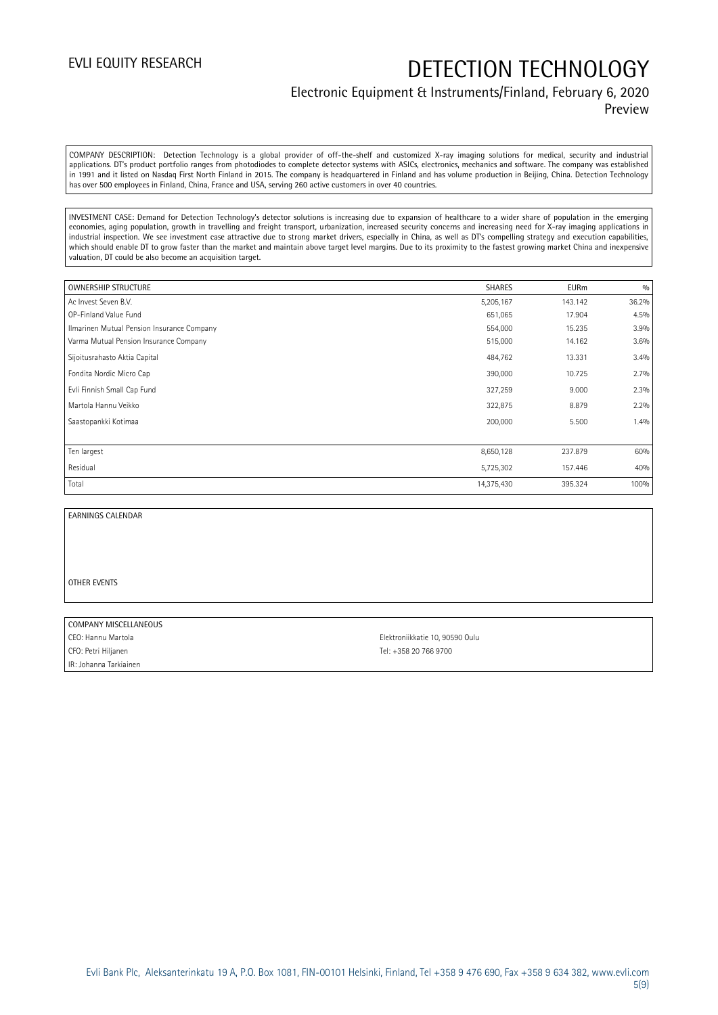### Electronic Equipment & Instruments/Finland, February 6, 2020 Preview

COMPANY DESCRIPTION: Detection Technology is a global provider of off-the-shelf and customized X-ray imaging solutions for medical, security and industrial applications. DT's product portfolio ranges from photodiodes to complete detector systems with ASICs, electronics, mechanics and software. The company was established in 1991 and it listed on Nasdaq First North Finland in 2015. The company is headquartered in Finland and has volume production in Beijing, China. Detection Technology has over 500 employees in Finland, China, France and USA, serving 260 active customers in over 40 countries.

INVESTMENT CASE: Demand for Detection Technology's detector solutions is increasing due to expansion of healthcare to a wider share of population in the emerging economies, aging population, growth in travelling and freight transport, urbanization, increased security concerns and increasing need for X-ray imaging applications in industrial inspection. We see investment case attractive due to strong market drivers, especially in China, as well as DT's compelling strategy and execution capabilities, which should enable DT to grow faster than the market and maintain above target level margins. Due to its proximity to the fastest growing market China and inexpensive valuation, DT could be also become an acquisition target.

| <b>OWNERSHIP STRUCTURE</b>                 | <b>SHARES</b> | <b>EURm</b> | 0/0   |
|--------------------------------------------|---------------|-------------|-------|
| Ac Invest Seven B.V.                       | 5,205,167     | 143.142     | 36.2% |
| OP-Finland Value Fund                      | 651,065       | 17.904      | 4.5%  |
| Ilmarinen Mutual Pension Insurance Company | 554,000       | 15.235      | 3.9%  |
| Varma Mutual Pension Insurance Company     | 515,000       | 14.162      | 3.6%  |
| Sijoitusrahasto Aktia Capital              | 484,762       | 13.331      | 3.4%  |
| Fondita Nordic Micro Cap                   | 390,000       | 10.725      | 2.7%  |
| Evli Finnish Small Cap Fund                | 327,259       | 9.000       | 2.3%  |
| Martola Hannu Veikko                       | 322,875       | 8.879       | 2.2%  |
| Saastopankki Kotimaa                       | 200,000       | 5.500       | 1.4%  |
|                                            |               |             |       |
| Ten largest                                | 8,650,128     | 237.879     | 60%   |
| Residual                                   | 5,725,302     | 157.446     | 40%   |
| Total                                      | 14,375,430    | 395.324     | 100%  |

### EARNINGS CALENDAR

#### OTHER EVENTS

#### COMPANY MISCELLANEOUS

CFO: Petri Hiljanen Tel: +358 20 766 9700 IR: Johanna Tarkiainen

CEO: Hannu Martola Elektroniikkatie 10, 90590 Oulu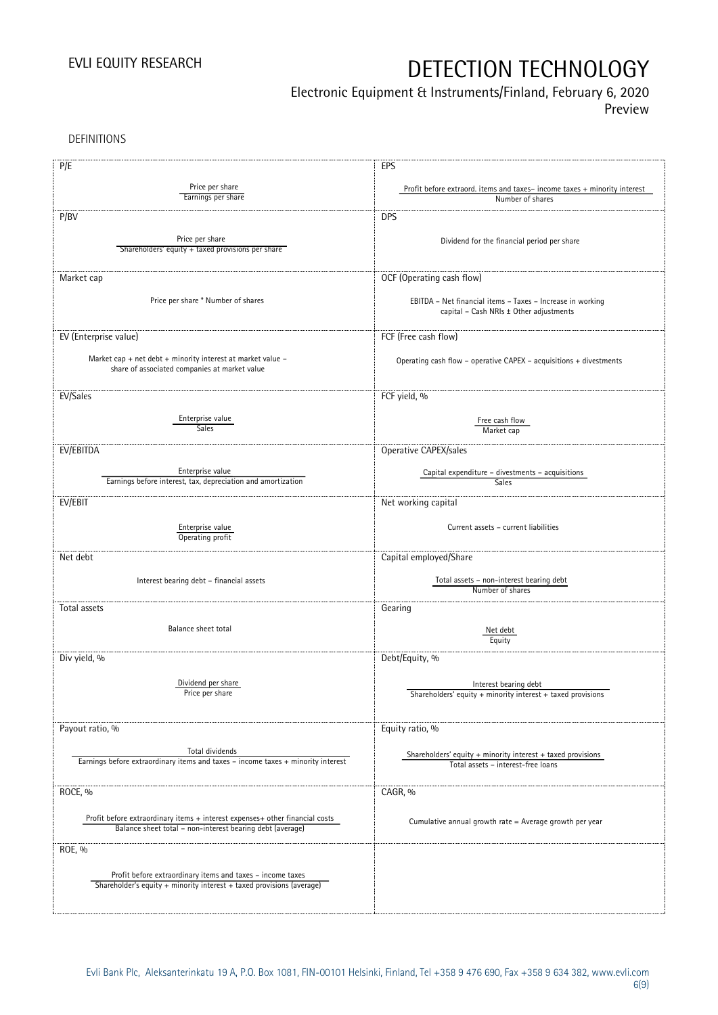## Electronic Equipment & Instruments/Finland, February 6, 2020

Preview

DEFINITIONS

| P/E                                                                              | EPS                                                                                                   |
|----------------------------------------------------------------------------------|-------------------------------------------------------------------------------------------------------|
| Price per share                                                                  |                                                                                                       |
| Earnings per share                                                               | Profit before extraord. items and taxes-income taxes + minority interest<br>Number of shares          |
|                                                                                  |                                                                                                       |
| P/BV                                                                             | <b>DPS</b>                                                                                            |
| Price per share                                                                  | Dividend for the financial period per share                                                           |
| Shareholders' equity + taxed provisions per share                                |                                                                                                       |
|                                                                                  |                                                                                                       |
| Market cap                                                                       | OCF (Operating cash flow)                                                                             |
|                                                                                  |                                                                                                       |
| Price per share * Number of shares                                               | EBITDA - Net financial items - Taxes - Increase in working                                            |
|                                                                                  | capital - Cash NRIs ± Other adjustments                                                               |
| EV (Enterprise value)                                                            | FCF (Free cash flow)                                                                                  |
|                                                                                  |                                                                                                       |
| Market cap + net debt + minority interest at market value $-$                    | Operating cash flow - operative CAPEX - acquisitions + divestments                                    |
| share of associated companies at market value                                    |                                                                                                       |
|                                                                                  |                                                                                                       |
| EV/Sales                                                                         | FCF yield, %                                                                                          |
| Enterprise value                                                                 | Free cash flow                                                                                        |
| <b>Sales</b>                                                                     | Market cap                                                                                            |
|                                                                                  |                                                                                                       |
| EV/EBITDA                                                                        | Operative CAPEX/sales                                                                                 |
| Enterprise value                                                                 | Capital expenditure - divestments - acquisitions                                                      |
| Earnings before interest, tax, depreciation and amortization                     | Sales                                                                                                 |
| EV/EBIT                                                                          | Net working capital                                                                                   |
|                                                                                  |                                                                                                       |
| Enterprise value                                                                 | Current assets - current liabilities                                                                  |
| Operating profit                                                                 |                                                                                                       |
| Net debt                                                                         | Capital employed/Share                                                                                |
|                                                                                  |                                                                                                       |
| Interest bearing debt - financial assets                                         | Total assets - non-interest bearing debt                                                              |
|                                                                                  | Number of shares                                                                                      |
| Total assets                                                                     | Gearing                                                                                               |
| Balance sheet total                                                              |                                                                                                       |
|                                                                                  | Net debt<br>Equity                                                                                    |
|                                                                                  |                                                                                                       |
| Div yield, %                                                                     | Debt/Equity, %                                                                                        |
| Dividend per share                                                               |                                                                                                       |
| Price per share                                                                  | Interest bearing debt<br>Shareholders' equity + minority interest + taxed provisions                  |
|                                                                                  |                                                                                                       |
|                                                                                  |                                                                                                       |
| Payout ratio, %                                                                  | Equity ratio, %                                                                                       |
| Total dividends                                                                  |                                                                                                       |
| Earnings before extraordinary items and taxes - income taxes + minority interest | Shareholders' equity $+$ minority interest $+$ taxed provisions<br>Total assets - interest-free loans |
|                                                                                  |                                                                                                       |
| ROCE, %                                                                          | CAGR, %                                                                                               |
|                                                                                  |                                                                                                       |
| Profit before extraordinary items + interest expenses+ other financial costs     | Cumulative annual growth rate = Average growth per year                                               |
| Balance sheet total - non-interest bearing debt (average)                        |                                                                                                       |
| ROE, %                                                                           |                                                                                                       |
|                                                                                  |                                                                                                       |
| Profit before extraordinary items and taxes - income taxes                       |                                                                                                       |
| Shareholder's equity + minority interest + taxed provisions (average)            |                                                                                                       |
|                                                                                  |                                                                                                       |
|                                                                                  |                                                                                                       |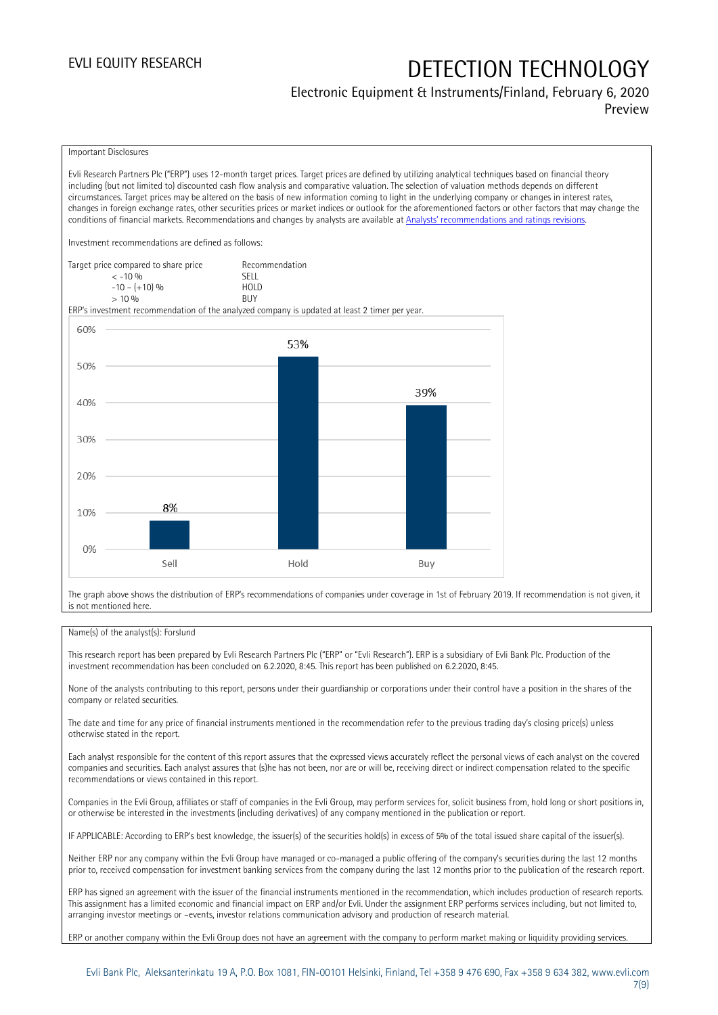### Electronic Equipment & Instruments/Finland, February 6, 2020 Preview

### Important Disclosures

Evli Research Partners Plc ("ERP") uses 12-month target prices. Target prices are defined by utilizing analytical techniques based on financial theory including (but not limited to) discounted cash flow analysis and comparative valuation. The selection of valuation methods depends on different circumstances. Target prices may be altered on the basis of new information coming to light in the underlying company or changes in interest rates, changes in foreign exchange rates, other securities prices or market indices or outlook for the aforementioned factors or other factors that may change the conditions of financial markets. Recommendations and changes by analysts are available at [Analysts' recommendations and ratings revisions](https://research.evli.com/JasperAllModels.action?authParam=key;461&authParam=x;G3rNagWrtf7K&authType=3).

Investment recommendations are defined as follows:

| Target price compared to share price | Recommendation                |
|--------------------------------------|-------------------------------|
| $<-10.06$                            | SFIT                          |
| $-10 - (+10)$ %                      | H <sub>O</sub> I <sub>D</sub> |
| $> 10\%$                             | <b>BUY</b>                    |

ERP's investment recommendation of the analyzed company is updated at least 2 timer per year.



The graph above shows the distribution of ERP's recommendations of companies under coverage in 1st of February 2019. If recommendation is not given, it is not mentioned here.

### Name(s) of the analyst(s): Forslund

This research report has been prepared by Evli Research Partners Plc ("ERP" or "Evli Research"). ERP is a subsidiary of Evli Bank Plc. Production of the investment recommendation has been concluded on 6.2.2020, 8:45. This report has been published on 6.2.2020, 8:45.

None of the analysts contributing to this report, persons under their guardianship or corporations under their control have a position in the shares of the company or related securities.

The date and time for any price of financial instruments mentioned in the recommendation refer to the previous trading day's closing price(s) unless otherwise stated in the report.

Each analyst responsible for the content of this report assures that the expressed views accurately reflect the personal views of each analyst on the covered companies and securities. Each analyst assures that (s)he has not been, nor are or will be, receiving direct or indirect compensation related to the specific recommendations or views contained in this report.

Companies in the Evli Group, affiliates or staff of companies in the Evli Group, may perform services for, solicit business from, hold long or short positions in, or otherwise be interested in the investments (including derivatives) of any company mentioned in the publication or report.

IF APPLICABLE: According to ERP's best knowledge, the issuer(s) of the securities hold(s) in excess of 5% of the total issued share capital of the issuer(s).

Neither ERP nor any company within the Evli Group have managed or co-managed a public offering of the company's securities during the last 12 months prior to, received compensation for investment banking services from the company during the last 12 months prior to the publication of the research report.

ERP has signed an agreement with the issuer of the financial instruments mentioned in the recommendation, which includes production of research reports. This assignment has a limited economic and financial impact on ERP and/or Evli. Under the assignment ERP performs services including, but not limited to, arranging investor meetings or –events, investor relations communication advisory and production of research material.

ERP or another company within the Evli Group does not have an agreement with the company to perform market making or liquidity providing services.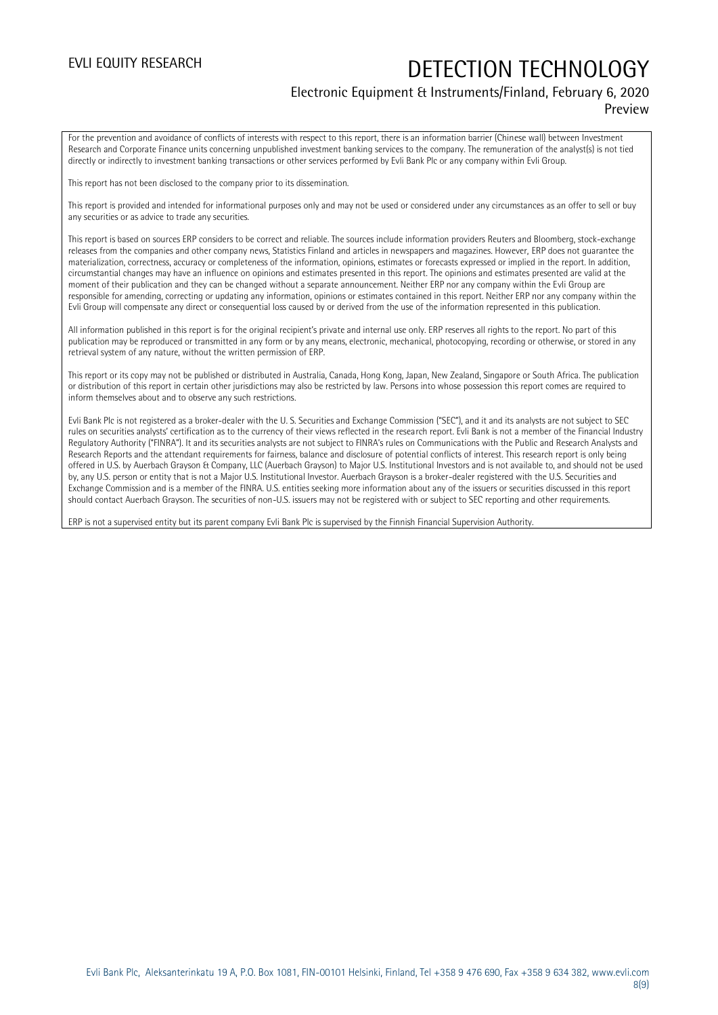### Electronic Equipment & Instruments/Finland, February 6, 2020 Preview

For the prevention and avoidance of conflicts of interests with respect to this report, there is an information barrier (Chinese wall) between Investment Research and Corporate Finance units concerning unpublished investment banking services to the company. The remuneration of the analyst(s) is not tied directly or indirectly to investment banking transactions or other services performed by Evli Bank Plc or any company within Evli Group.

This report has not been disclosed to the company prior to its dissemination.

This report is provided and intended for informational purposes only and may not be used or considered under any circumstances as an offer to sell or buy any securities or as advice to trade any securities.

This report is based on sources ERP considers to be correct and reliable. The sources include information providers Reuters and Bloomberg, stock-exchange releases from the companies and other company news, Statistics Finland and articles in newspapers and magazines. However, ERP does not guarantee the materialization, correctness, accuracy or completeness of the information, opinions, estimates or forecasts expressed or implied in the report. In addition, circumstantial changes may have an influence on opinions and estimates presented in this report. The opinions and estimates presented are valid at the moment of their publication and they can be changed without a separate announcement. Neither ERP nor any company within the Evli Group are responsible for amending, correcting or updating any information, opinions or estimates contained in this report. Neither ERP nor any company within the Evli Group will compensate any direct or consequential loss caused by or derived from the use of the information represented in this publication.

All information published in this report is for the original recipient's private and internal use only. ERP reserves all rights to the report. No part of this publication may be reproduced or transmitted in any form or by any means, electronic, mechanical, photocopying, recording or otherwise, or stored in any retrieval system of any nature, without the written permission of ERP.

This report or its copy may not be published or distributed in Australia, Canada, Hong Kong, Japan, New Zealand, Singapore or South Africa. The publication or distribution of this report in certain other jurisdictions may also be restricted by law. Persons into whose possession this report comes are required to inform themselves about and to observe any such restrictions.

Evli Bank Plc is not registered as a broker-dealer with the U. S. Securities and Exchange Commission ("SEC"), and it and its analysts are not subject to SEC rules on securities analysts' certification as to the currency of their views reflected in the research report. Evli Bank is not a member of the Financial Industry Regulatory Authority ("FINRA"). It and its securities analysts are not subject to FINRA's rules on Communications with the Public and Research Analysts and Research Reports and the attendant requirements for fairness, balance and disclosure of potential conflicts of interest. This research report is only being offered in U.S. by Auerbach Grayson & Company, LLC (Auerbach Grayson) to Major U.S. Institutional Investors and is not available to, and should not be used by, any U.S. person or entity that is not a Major U.S. Institutional Investor. Auerbach Grayson is a broker-dealer registered with the U.S. Securities and Exchange Commission and is a member of the FINRA. U.S. entities seeking more information about any of the issuers or securities discussed in this report should contact Auerbach Grayson. The securities of non-U.S. issuers may not be registered with or subject to SEC reporting and other requirements.

ERP is not a supervised entity but its parent company Evli Bank Plc is supervised by the Finnish Financial Supervision Authority.